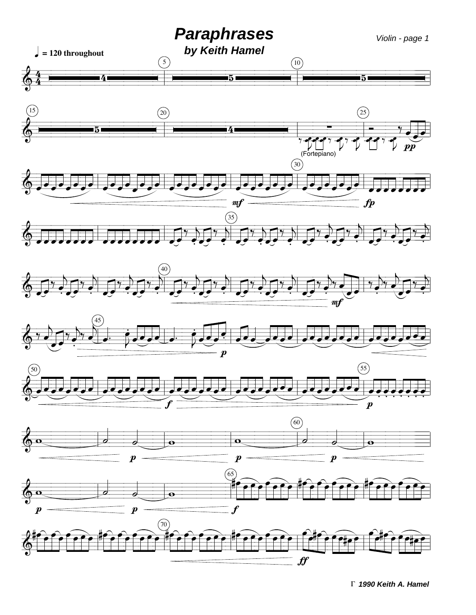

 $\Gamma$  1990 Keith A. Hamel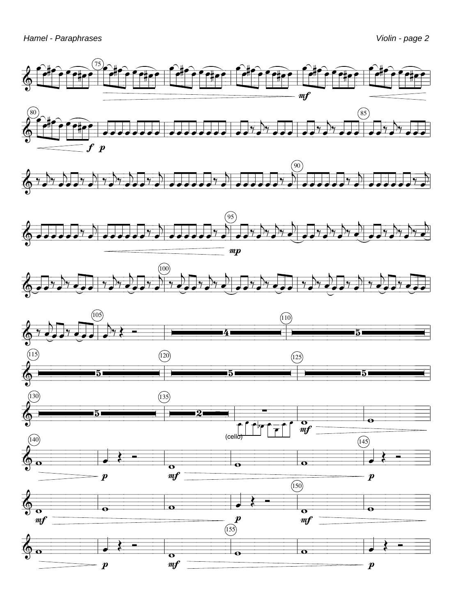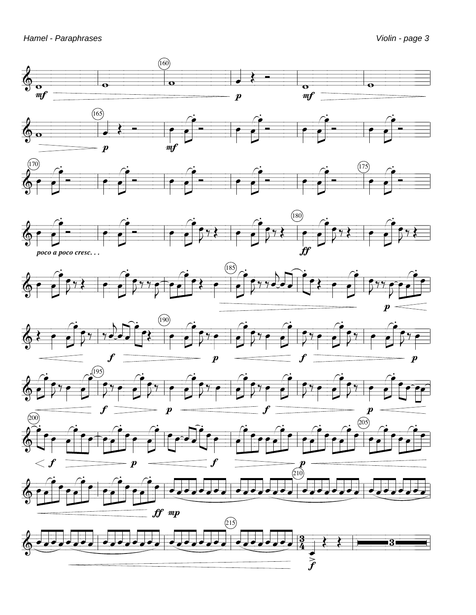